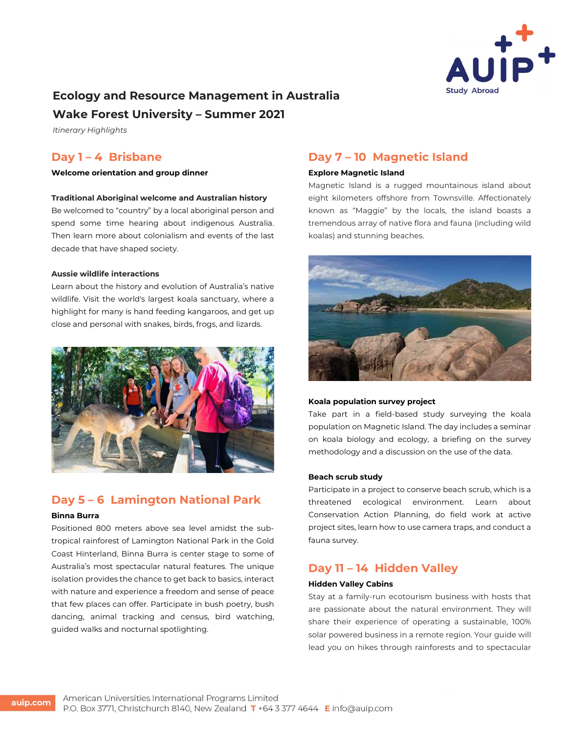

# Ecology and Resource Management in Australia

## Wake Forest University – Summer 2021

Itinerary Highlights

## Day 1 – 4 Brisbane

Welcome orientation and group dinner

#### Traditional Aboriginal welcome and Australian history

Be welcomed to "country" by a local aboriginal person and spend some time hearing about indigenous Australia. Then learn more about colonialism and events of the last decade that have shaped society.

#### Aussie wildlife interactions

Learn about the history and evolution of Australia's native wildlife. Visit the world's largest koala sanctuary, where a highlight for many is hand feeding kangaroos, and get up close and personal with snakes, birds, frogs, and lizards.



# Day 5 – 6 Lamington National Park

### Binna Burra

Positioned 800 meters above sea level amidst the subtropical rainforest of Lamington National Park in the Gold Coast Hinterland, Binna Burra is center stage to some of Australia's most spectacular natural features. The unique isolation provides the chance to get back to basics, interact with nature and experience a freedom and sense of peace that few places can offer. Participate in bush poetry, bush dancing, animal tracking and census, bird watching, guided walks and nocturnal spotlighting.

# Day 7 – 10 Magnetic Island

#### Explore Magnetic Island

Magnetic Island is a rugged mountainous island about eight kilometers offshore from Townsville. Affectionately known as "Maggie" by the locals, the island boasts a tremendous array of native flora and fauna (including wild koalas) and stunning beaches.



#### Koala population survey project

Take part in a field-based study surveying the koala population on Magnetic Island. The day includes a seminar on koala biology and ecology, a briefing on the survey methodology and a discussion on the use of the data.

#### Beach scrub study

Participate in a project to conserve beach scrub, which is a threatened ecological environment. Learn about Conservation Action Planning, do field work at active project sites, learn how to use camera traps, and conduct a fauna survey.

# Day 11 – 14 Hidden Valley

#### Hidden Valley Cabins

Stay at a family-run ecotourism business with hosts that are passionate about the natural environment. They will share their experience of operating a sustainable, 100% solar powered business in a remote region. Your guide will lead you on hikes through rainforests and to spectacular